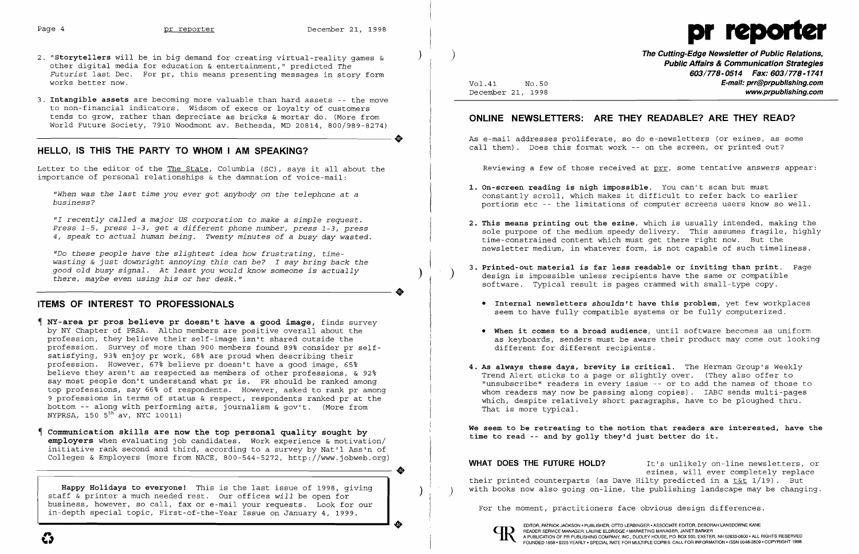

*"Do these people have the slightest idea how frustrating, time wasting* & *just downright annoying this can be? I say bring back the* asseing a jase asmilight annoying this can set if say siting sack the good old busy signal. At least you would know someone is actually  $\left($   $\right)$ 

## **HELLO, IS THIS THE PARTY TO WHOM I AM SPEAKING?**

Letter to the editor of the The State, Columbia (SC), says it all about the importance of personal relationships & the damnation of voice-mail:

*"When was the last time you ever got anybody* on *the telephone* at a *business?* 

*"I recently called* a *major US corporation* to *make* a *simple request. Press* 1-5, *press* 1-3, *get* a *different phone number, press* 1-3, *press 4, speak* to *actual human being. Twenty minutes of* a *busy day wasted.* 

**The Cutting-Edge Newsletter of Public Relations,** ) **Public Affairs & Communication Strategies 603/778-0514 Fax: 603/778-1741**  Vol.41 NO.50 **E-mail: prr@prpublishing.com**  www.prpublishing.com

..

## **ITEMS OF INTEREST TO PROFESSIONALS**

- **NY-area pr pros believe pr doesn't have a good image,** finds survey by NY Chapter of PRSA. Altho members are positive overall about the profession, they believe their self-image isn't shared outside the profession. Survey of more than 900 members found 89% consider pr self satisfying, 93% enjoy pr work, 68% are proud when describing their Ĵ profession. However, 67% believe pr doesn't have a good image, 65% believe they aren't as respected as members of other professions, & 92% say most people don't understand what pr is. PR should be ranked among top professions, say 66% of respondents. However, asked to rank pr among 9 professions in terms of status & respect, respondents ranked pr at the  $\overline{a}$ bottom -- along with performing arts, journalism & gov't. (More from  $NYPRSA$ , 150  $5^{th}$  av,  $NYC$  10011)
- **Communication skills are now the top personal quality sought by employers** when evaluating job candidates. Work experience & motivation/ initiative rank second and third, according to a survey by Nat'l Ass'n of Colleges & Employers (more from NACE, 800-544-5272, http://www.jobweb.org)

**WHAT DOES THE FUTURE HOLD?** It's unlikely on-line newsletters, or ezines, will ever completely replace their printed counterparts (as Dave Hilty predicted in a t&t 1/19). But

..

- 2. "Storytellers will be in big demand for creating virtual-reality games & other digital media for education & entertainment," predicted *The Futurist* last Dec. For pr, this means presenting messages in story form works better now.
- 3. **Intangible assets** are becoming more valuable than hard assets -- the move to non-financial indicators. Widsom of execs or loyalty of customers tends to grow, rather than depreciate as bricks & mortar do. (More from<br>World Future Society, 7910 Woodmont av. Bethesda, MD 20814, 800/989-8274) World Future Society, 7910 Woodmont av. Bethesda, MD 20814, 800/989-8274)

# **ONLINE NEWSLETTERS: ARE THEY READABLE? ARE THEY READ?**

As e-mail addresses proliferate, so do e-newsletters (or ezines, as some call them). Does this format work -- on the screen, or printed out?

Reviewing a few of those received at prr, some tentative answers appear:

constantly scroll, which makes it difficult to refer back to earlier portions etc -- the limitations of computer screens users know so well.

**2. This means printing out the ezine,** which is usually intended, making the sole purpose of the medium speedy delivery. This assumes fragile, highly newsletter medium, in whatever form, is not capable of such timeliness.

**3. Printed-out material is far less readable or inviting than print.** Page

- **1. On-screen reading is nigh impossible.** You can't scan but must
- time-constrained content which must get there right now. But the
- design is impossible unless recipients have the same or compatible software. Typical result is pages crammed with small-type copy .
	-
	- different for different recipients.
- That is more typical.

**• Internal newsletters** *shouldn't* **have this problem,** yet few workplaces seem to have fully compatible systems or be fully computerized.

**• When it comes to a broad audience,** until software becomes as uniform as keyboards, senders must be aware their product may come out looking

**4. As always these days, brevity is critical.** The Herman Group's Weekly Trend Alert sticks to a page or slightly over. (They also offer to "unsubscribe" readers in every issue -- or to add the names of those to whom readers may now be passing along copies). IABC sends multi-pages which, despite relatively short paragraphs, have to be ploughed thru.

**We seem to be retreating to the notion that readers are interested, have the time to read -- and by golly they'd just better do it.** 

**Happy Holidays to everyone!** This is the last issue of 1998, giving with books now also going on-line, the publishing landscape may be changing. ) ) staff & printer a much needed rest. Our offices *will* be open for business, however, so call, fax or e-mail your requests. Look for our For the moment, practitioners face obvious design differences. in-depth special topic, First-of-the-Year Issue on January 4, 1999.